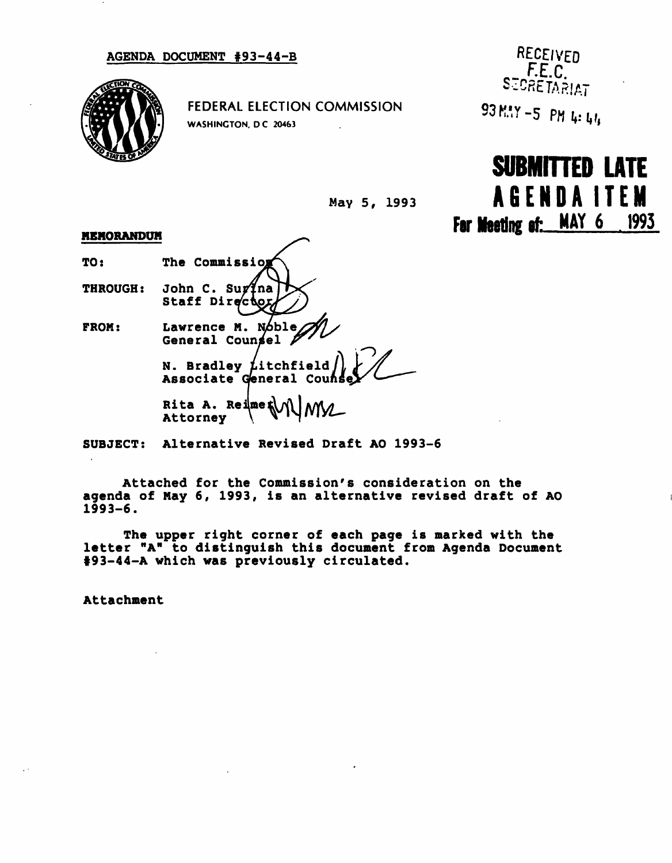## AGENDA DOCUMENT #93-44-B

FEDERAL ELECTION COMMISSION WASHINGTON, DC 20463

RECEIVED F.E.C. **SECRETARIAT** 93 M.Y -5 PM 4: 44

For Meeting of: MAY 6 1993 SUBMITTED LATE AGENDAITE M



## MEMORANDUM

TO: THROUGH: FROM: The Commission John C. Surina Staff Director Lawrence M. Noble General Counsel **N. Bradley**  $\cancel{\text{t}}$ **itchfield** Associate General Cou Rita A. Rei $\mathbb{R}$ e $\mathbb{R}$ Attorney

SUBJECT: Alternative Revised Draft AO 1993-6

Attached for the Commission's consideration on the agenda of May 6, 1993, is an alternative revised draft of AO 1993-6.

The upper right corner of each page is marked with the letter "A" to distinguish this document from Agenda Document 193-44-A which was previously circulated.

Attachment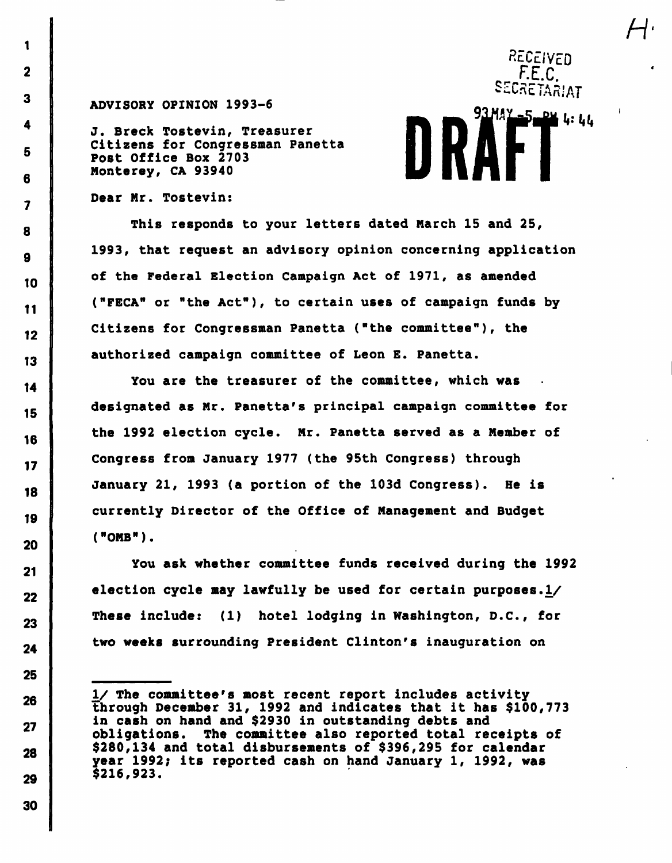## ADVISORY OPINION 1993-6

J. Breck Tostevin, Treasurer Citizens for Congressman Panetta Post Office Box 2703 Monterey, CA 93940

## Dear Mr. Tostevin:

This responds to your letters dated March 15 and 25, 1993, that request an advisory opinion concerning application of the Federal Election Campaign Act of 1971, as amended ("FECA" or "the Act"), to certain uses of campaign funds by Citizens for Congressman Panetta ("the committee"), the authorized campaign committee of Leon E. Panetta.

 $H<sub>1</sub>$ 

RECEIVED F.E.C. SECRETARIAT

93 MAY 5004 4:44

You are the treasurer of the committee, which was designated as Mr. Panetta's principal campaign committee for the 1992 election cycle. Mr. Panetta served as a Member of Congress from January 1977 (the 95th Congress) through January 21, 1993 (a portion of the 103d Congress). He is currently Director of the Office of Management and Budget ("OMB").

You ask whether committee funds received during the 1992 election cycle may lawfully be used for certain purposes.1/ These include: (1) hotel lodging in Washington, D.C., for two weeks surrounding President Clinton's inauguration on

I/ The committee's most recent report includes activity through December 31, 1992 and indicates that it has \$100,773 in cash on hand and \$2930 in outstanding debts and obligations. The committee also reported total receipts of \$280,134 and total disbursements of \$396,295 for calendar year 1992; its reported cash on hand January 1, 1992, was \$216,923.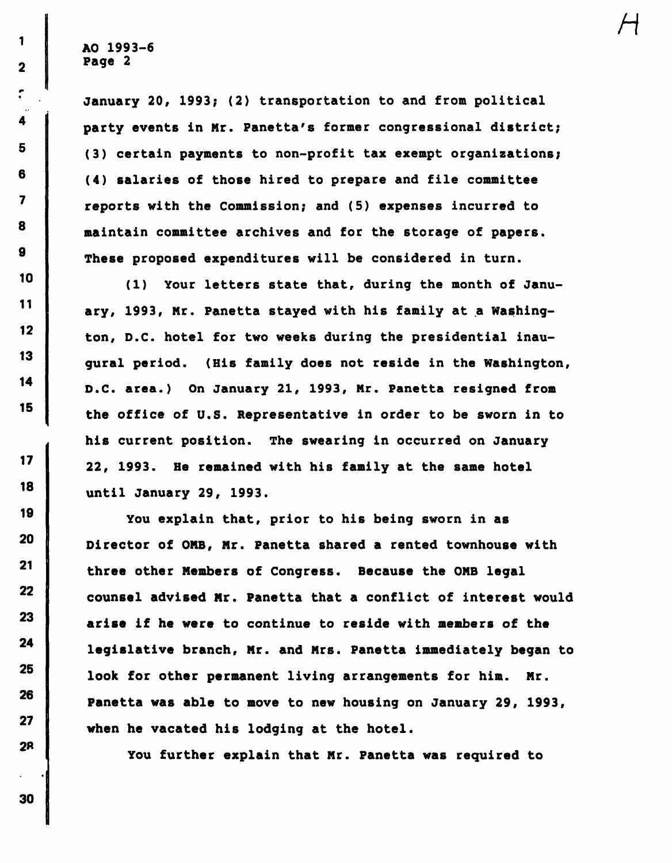1

 $\overline{\mathbf{2}}$ 

 $\mathbf{r}$ 

4

5

6

 $\overline{\mathbf{z}}$ 

8

9

10

 $11$ 

 $12<sub>2</sub>$ 

13

14

15

 $17$ 

18

19

20

 $21$ 

22

23

24

25

26

27

**28** 

January 20, 1993; (2) transportation to and from political party events in Mr. Panetta's former congressional district; (3) certain payments to non-profit tax exempt organizations; (4) salaries of those hired to prepare and file committee reports with the Commission; and (5) expenses incurred to maintain committee archives and for the storage of papers. These proposed expenditures will be considered in turn.

H

(1) Your letters state that, during the month of January, 1993, Mr. Panetta stayed with his family at a Washington, D.C. hotel for two weeks during the presidential inaugural period. (His family does not reside in the Washington, D.C. area.) On January 21, 1993, Nr. Panetta resigned from the office of U.S. Representative in order to be sworn in to his current position. The swearing in occurred on January 22, 1993. He remained with his family at the same hotel until January 29, 1993.

You explain that, prior to his being sworn in as Director of OMB, Mr. Panetta shared a rented townhouse with three other Members of Congress. Because the OMB legal counsel advised Mr. Panetta that a conflict of interest would arise if he were to continue to reside with members of the legislative branch, Mr. and Mrs. Panetta immediately began to look for other permanent living arrangements for him. Mr. Panetta was able to move to new housing on January 29, 1993, when he vacated his lodging at the hotel.

You further explain that Mr. Panetta was required to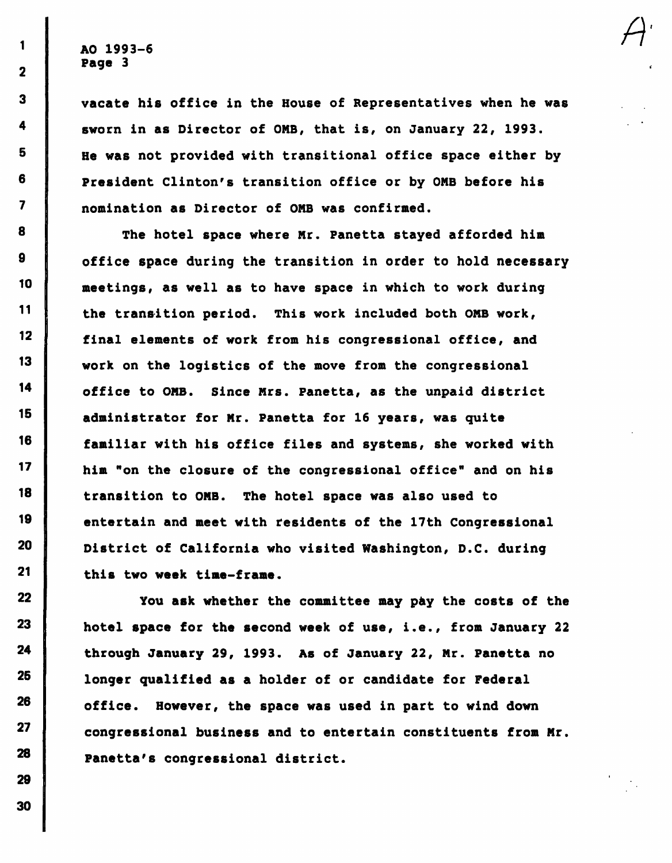1

 $\overline{2}$ 

 $\overline{\mathbf{3}}$ 

4

5

6

 $\overline{\mathbf{z}}$ 

8

9

10

 $11$ 

 $12<sup>°</sup>$ 

 $13<sub>1</sub>$ 

14

15

16

 $17$ 

18

19

20

21

22

23

24

25

26

27

28

29

vacate his office in the House of Representatives when he was sworn in as Director of OMB, that is, on January 22, 1993. He was not provided with transitional office space either by President Clinton's transition office or by OMB before his nomination as Director of ONB was confirmed.

The hotel space where Mr. Panetta stayed afforded him office space during the transition in order to hold necessary meetings, as well as to have space in which to work during the transition period. This work included both OMB work, final elements of work from his congressional office, and work on the logistics of the move from the congressional office to OMB. Since Mrs. Panetta, as the unpaid district administrator for Mr. Panetta for 16 years, was quite familiar with his office files and systems, she worked with him "on the closure of the congressional office" and on his transition to OMB. The hotel space was also used to entertain and meet with residents of the 17th Congressional District of California who visited Washington, D.C. during this two week time-frame.

You ask whether the committee may pay the costs of the hotel space for the second week of use, i.e., from January 22 through January 29, 1993. As of January 22, Mr. Panetta no longer qualified as a holder of or candidate for Federal office. However, the space was used in part to wind down congressional business and to entertain constituents from Mr. Panetta's congressional district.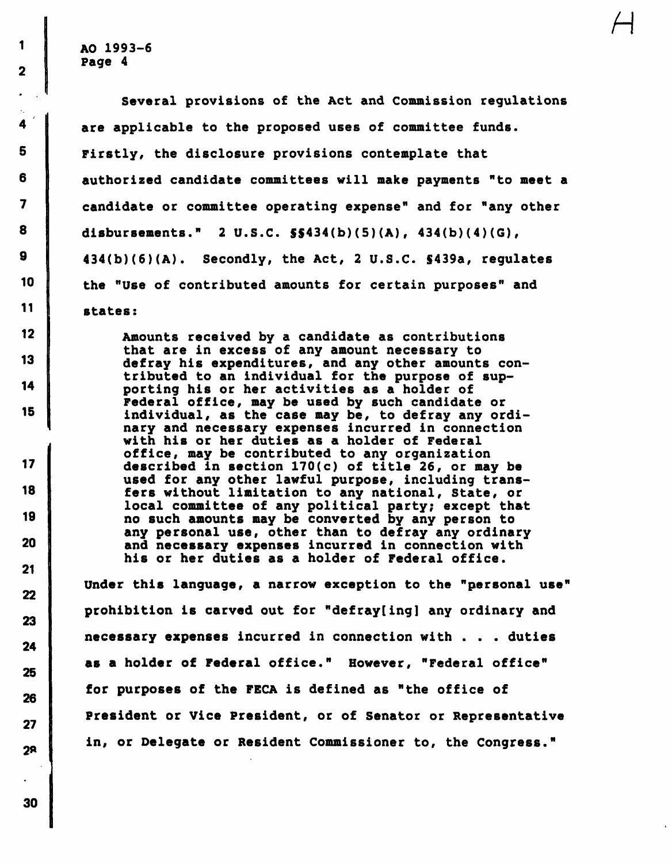1

 $\overline{\mathbf{2}}$ 

4

5

6

7

8

9

10

11

12

13

14

15

17

18

19

20

21

 $22$ 

23

24

25

26

27

 $2<sup>8</sup>$ 

Several provisions of the Act and Commission regulations are applicable to the proposed uses of committee funds. Firstly, the disclosure provisions contemplate that authorized candidate committees will make payments "to meet a candidate or committee operating expense" and for "any other disbursements." 2 U.S.C. S\$434(b)(5)(A), 434(b)(4)(G), 434(b)(6)(A). Secondly, the Act, 2 U.S.C. S439a, regulates the "Use of contributed amounts for certain purposes" and states:

 $\overline{\mathcal{H}}$ 

Amounts received by a candidate as contributions that are in excess of any amount necessary to defray his expenditures, and any other amounts contributed to an individual for the purpose of supporting his or her activities as a holder of Federal office, may be used by such candidate or individual, as the case may be, to defray any ordinary and necessary expenses incurred in connection with his or her duties as a holder of Federal office, may be contributed to any organization described in section 170(c) of title 26, or may be used for any other lawful purpose, including transfers without limitation to any national, State, or local committee of any political party; except that no such amounts may be converted by any person to any personal use, other than to defray any ordinary and necessary expenses incurred in connection with his or her duties as a holder of Federal office.

Under this language, a narrow exception to the "personal use" prohibition is carved out for "defray[ing] any ordinary and necessary expenses incurred in connection with . . . duties as a holder of Federal office." However, "Federal office" for purposes of the FECA is defined as "the office of President or Vice President, or of Senator or Representative in, or Delegate or Resident Commissioner to, the Congress."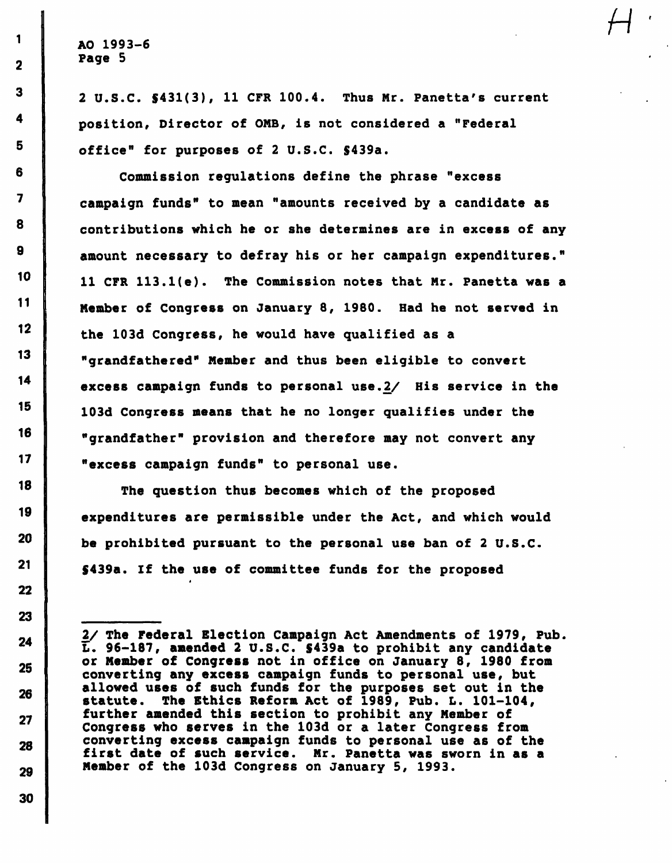2 U.S.C. \$431(3), 11 CFR 100.4. Thus Nr. Panetta's current position, Director of OMB, is not considered a "Federal office" for purposes of 2 U.S.C. \$439a.

Commission regulations define the phrase "excess campaign funds" to mean "amounts received by a candidate as contributions which he or she determines are in excess of any amount necessary to defray his or her campaign expenditures." 11 CFR 113.l(e). The Commission notes that Mr. Panetta was a Member of Congress on January 8, 1980. Had he not served in the 103d Congress, he would have qualified as a "grandfathered" Member and thus been eligible to convert excess campaign funds to personal use.2/ His service in the 103d Congress means that he no longer qualifies under the "grandfather" provision and therefore may not convert any "excess campaign funds" to personal use.

The question thus becomes which of the proposed expenditures are permissible under the Act, and which would be prohibited pursuant to the personal use ban of 2 U.S.C. \$439a. If the use of committee funds for the proposed

1

 $\mathbf{2}$ 

 $\overline{\mathbf{3}}$ 

<sup>2/</sup> The Federal Election Campaign Act Amendments of 1979, Pub. L. 96-187, amended 2 U.S.C. \$439a to prohibit any candidate or Member of Congress not in office on January 8, 1980 from converting any excess campaign funds to personal use, but allowed uses of such funds for the purposes set out in the statute. The Ethics Reform Act of 1989, Pub. L. 101-104, further amended this section to prohibit any Member of Congress who serves in the 103d or a later Congress from converting excess campaign funds to personal use as of the first date of such service. Mr. Panetta was sworn in as a Member of the 103d Congress on January 5, 1993.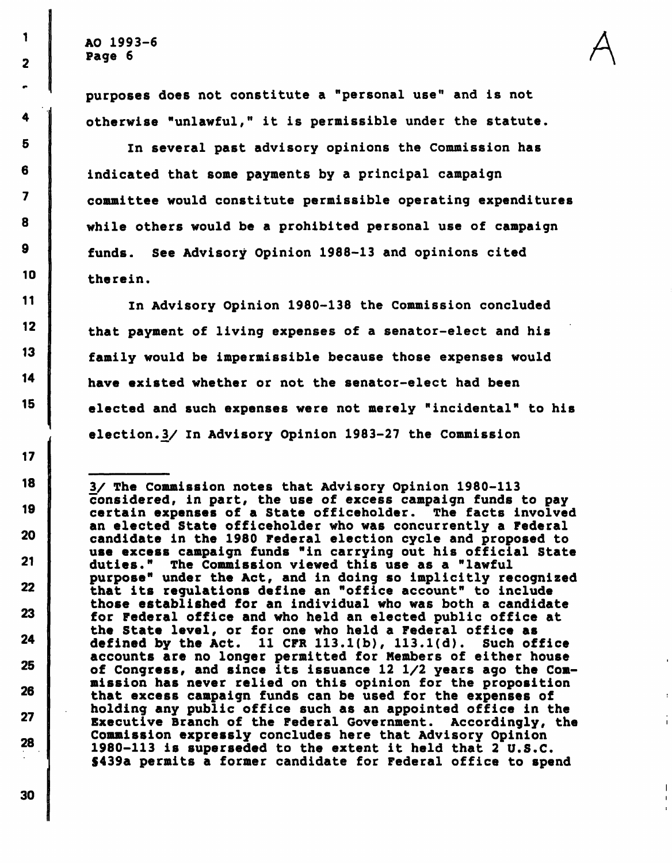1

2

4

5

6

 $\overline{\mathbf{z}}$ 

8

9

10

11

 $12<sup>°</sup>$ 

13

14

15

 $17$ 

18

19

20

 $21$ 

 $22$ 

23

24

25

26

27

28

purposes does not constitute a "personal use" and is not otherwise "unlawful," it is permissible under the statute. A

 $\mathbf I$ 

 $\mathbf{I}$ 

In several past advisory opinions the Commission has indicated that some payments by a principal campaign committee would constitute permissible operating expenditures while others would be a prohibited personal use of campaign funds. See Advisory Opinion 1988-13 and opinions cited therein.

In Advisory Opinion 1980-138 the Commission concluded that payment of living expenses of a senator-elect and his family would be impermissible because those expenses would have existed whether or not the senator-elect had been elected and such expenses were not merely "incidental" to his election.V In Advisory Opinion 1983-27 the Commission

3/ The Commission notes that Advisory Opinion 1980-113 considered, in part, the use of excess campaign funds to pay certain expenses of a State officeholder. The facts involved an elected State officeholder who was concurrently a Federal candidate in the 1980 Federal election cycle and proposed to use excess campaign funds "in carrying out his official State duties." The Commission viewed this use as a "lawful purpose" under the Act, and in doing so implicitly recognized that its regulations define an "office account" to include those established for an individual who was both a candidate for Federal office and who held an elected public office at the State level, or for one who held a Federal office as defined by the Act.  $11$  CFR  $113.1(b)$ ,  $113.1(d)$ . Such office accounts are no longer permitted for Members of either house of Congress, and since its issuance 12 1/2 years ago the Commission has never relied on this opinion for the proposition that excess campaign funds can be used for the expenses of holding any public office such as an appointed office in the Executive Branch of the Federal Government. Accordingly, the Commission expressly concludes here that Advisory Opinion 1980-113 is superseded to the extent it held that 2 U.S.C. S439a permits a former candidate for Federal office to spend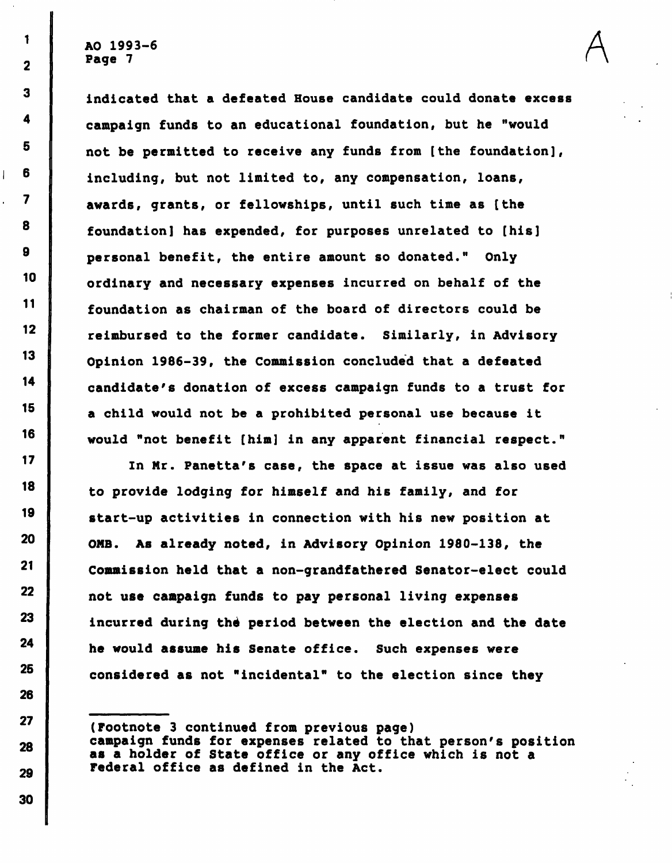1

 $\overline{2}$ 

 $\mathbf{3}$ 

4

5

6

 $\overline{\mathbf{z}}$ 

8

9

 $10$ 

11

 $12$ 

 $13<sup>°</sup>$ 

14

 $15<sub>1</sub>$ 

16

 $17$ 

18

19

20

 $\overline{1}$ 

indicated that a defeated House candidate could donate excess campaign funds to an educational foundation, but he "would not be permitted to receive any funds from [the foundation], including, but not limited to, any compensation, loans, awards, grants, or fellowships, until such time as [the foundation] has expended, for purposes unrelated to [his] personal benefit, the entire amount so donated." Only ordinary and necessary expenses incurred on behalf of the foundation as chairman of the board of directors could be reimbursed to the former candidate. Similarly, in Advisory Opinion 1986-39, the Commission concluded that a defeated candidate's donation of excess campaign funds to a trust for a child would not be a prohibited personal use because it would "not benefit [him] in any apparent financial respect."

A

In Mr. Panetta's case, the space at issue was also used to provide lodging for himself and his family, and for start-up activities in connection with his new position at OMB. As already noted, in Advisory Opinion 1980-138, the Commission held that a non-grandfathered Senator-elect could not use campaign funds to pay personal living expenses incurred during the period between the election and the date he would assume his Senate office. Such expenses were considered as not "incidental" to the election since they

(Footnote 3 continued from previous page) campaign funds for expenses related to that person's position as a holder of State office or any office which is not a Federal office as defined in the Act.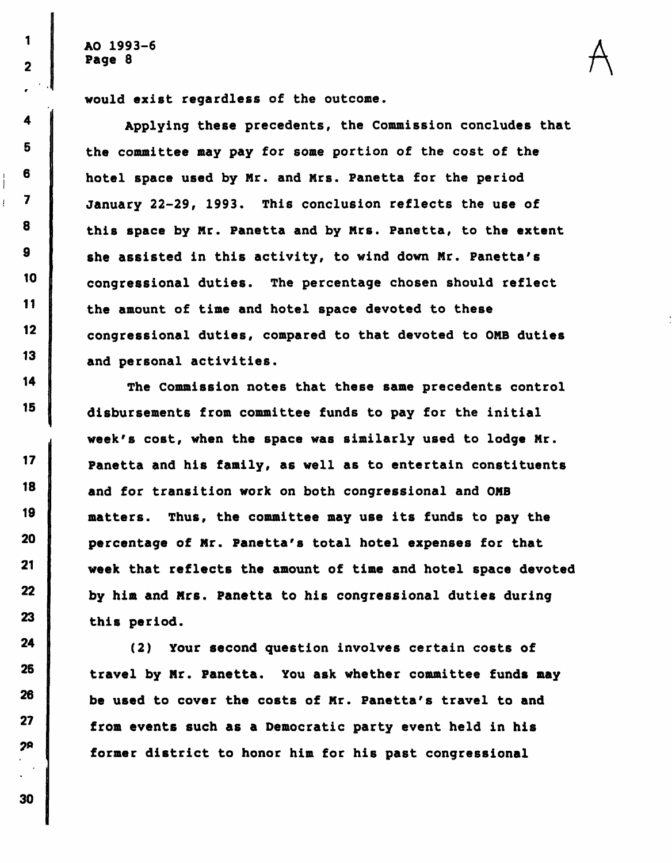1

 $\overline{\mathbf{2}}$ 

4

5

6

 $\overline{\mathbf{z}}$ 

8

9

10

11

 $12<sub>2</sub>$ 

13

14

15

 $17$ 

18

19

20

21

22

23

24

25

26

27

 $2P$ 

I

Ť

would exist regardless of the outcome.

Applying these precedents, the Commission concludes that the committee may pay for some portion of the cost of the hotel space used by Mr. and Mrs. Panetta for the period January 22-29, 1993. This conclusion reflects the use of this space by Mr. Panetta and by Mrs. Panetta, to the extent she assisted in this activity, to wind down Mr. Panetta's congressional duties. The percentage chosen should reflect the amount of time and hotel space devoted to these congressional duties, compared to that devoted to OMB duties and personal activities.

A

The Commission notes that these same precedents control disbursements from committee funds to pay for the initial week's cost, when the space was similarly used to lodge Mr. Panetta and his family, as well as to entertain constituents and for transition work on both congressional and OMB matters. Thus, the committee may use its funds to pay the percentage of Mr. Panetta's total hotel expenses for that week that reflects the amount of time and hotel space devoted by him and Mrs. Panetta to his congressional duties during this period.

(2) Your second question involves certain costs of travel by Mr. Panetta. You ask whether committee funds may be used to cover the costs of Mr. Panetta's travel to and from events such as a Democratic party event held in his former district to honor him for his past congressional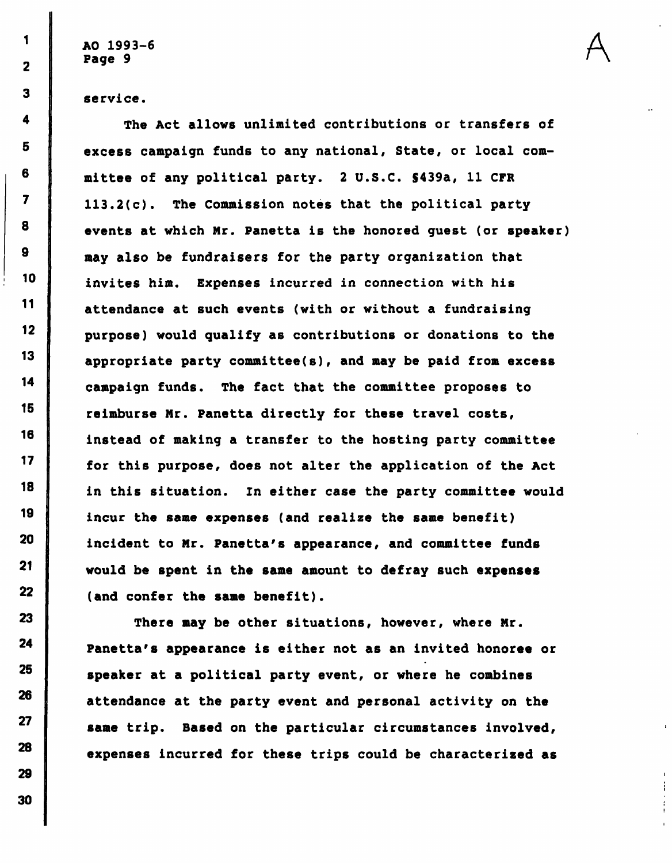AO 1993–6  $\Delta$ Page 9  $\sqrt{2}$ 

 $\mathbf{1}$ 

 $\overline{\mathbf{2}}$ 

3

4

5

6

 $\overline{\mathbf{z}}$ 

8

9

10

 $11$ 

 $12$ 

13

14

15

16

 $17$ 

18

19

20

 $21$ 

 $22<sub>2</sub>$ 

23

24

25

26

27

service.

The Act allows unlimited contributions or transfers of excess campaign funds to any national, State, or local committee of any political party. 2 U.S.C. S439a, 11 CFR 113.2(c). The Commission notes that the political party events at which Mr. Panetta is the honored guest (or speaker) may also be fundraisers for the party organization that invites him. Expenses incurred in connection with his attendance at such events (with or without a fundraising purpose) would qualify as contributions or donations to the appropriate party committee(s), and may be paid from excess campaign funds. The fact that the committee proposes to reimburse Mr. Panetta directly for these travel costs, instead of making a transfer to the hosting party committee for this purpose, does not alter the application of the Act in this situation. In either case the party committee would incur the same expenses (and realize the same benefit) incident to Mr. Panetta's appearance, and committee funds would be spent in the same amount to defray such expenses (and confer the same benefit).

There may be other situations, however, where Mr. Panetta's appearance is either not as an invited honoree or speaker at a political party event, or where he combines attendance at the party event and personal activity on the same trip. Based on the particular circumstances involved, expenses incurred for these trips could be characterized as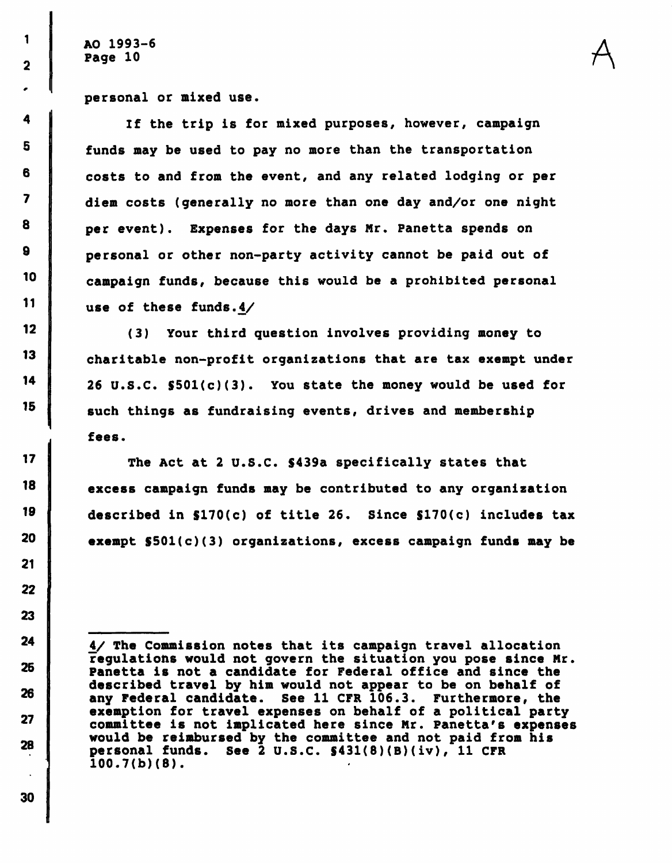1

 $\overline{\mathbf{2}}$ 

 $\ddot{\mathbf{4}}$ 

5

6

 $\overline{\mathbf{z}}$ 

8

9

10

11

 $12<sub>2</sub>$ 

 $13<sub>13</sub>$ 

14

15

 $17$ 

18

19

20

 $21$ 

22

23

 $24$ 

25

26

27

28

personal or mixed use.

If the trip is for mixed purposes, however, campaign funds may be used to pay no more than the transportation costs to and from the event, and any related lodging or per diem costs (generally no more than one day and/or one night per event). Expenses for the days Mr. Panetta spends on personal or other non-party activity cannot be paid out of campaign funds, because this would be a prohibited personal use of these funds.4/

(3) Your third question involves providing money to charitable non-profit organizations that are tax exempt under 26 U.S.C. S501(c)(3). You state the money would be used for such things as fundraising events, drives and membership fees.

The Act at 2 U.S.C. \$439a specifically states that excess campaign funds may be contributed to any organization described in \$170(c) of title 26. Since \$170(c) includes tax exempt S501(c)(3) organizations, excess campaign funds may be

<sup>4/</sup> The Commission notes that its campaign travel allocation regulations would not govern the situation you pose since Mr. Panetta is not a candidate for Federal office and since the described travel by him would not appear to be on behalf of any Federal candidate. See 11 CFR 106.3. Furthermore, the exemption for travel expenses on behalf of a political party committee is not implicated here since Mr. Panetta's expenses would be reimbursed by the committee and not paid from his personal funds. See 2 U.S.C. §431(8)(B)(iv), 11 CFR 100.7(b)(8).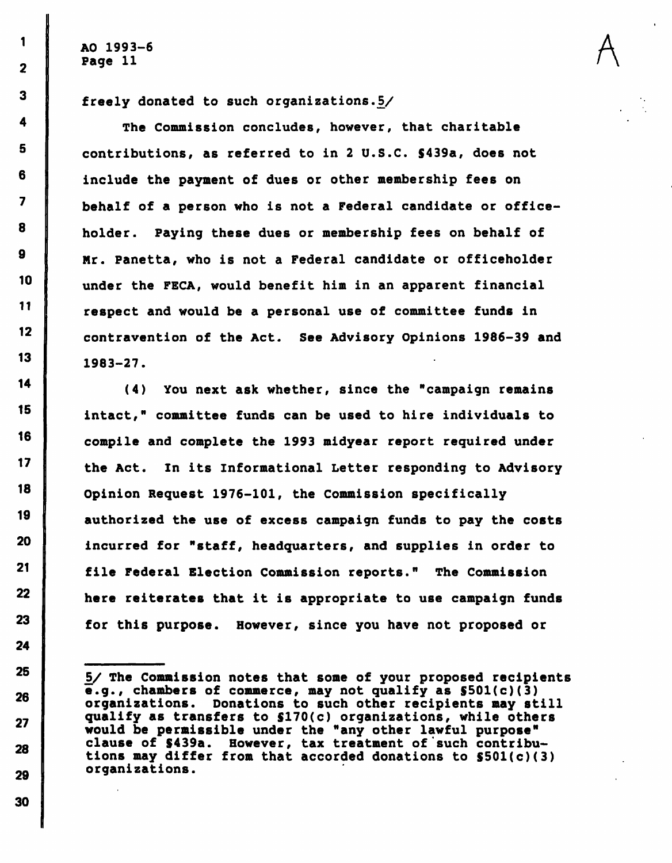AO 1993–6  $\overline{A}$ Page 11  $\qquad \qquad$ 

freely donated to such organizations. $5/$ 

The Commission concludes, however, that charitable contributions, as referred to in 2 U.S.C. S439a, does not include the payment of dues or other membership fees on behalf of a person who is not a Federal candidate or officeholder. Paying these dues or membership fees on behalf of Mr. Panetta, who is not a Federal candidate or officeholder under the FECA, would benefit him in an apparent financial respect and would be a personal use of committee funds in contravention of the Act. See Advisory Opinions 1986-39 and 1983-27.

(4) You next ask whether, since the "campaign remains intact," committee funds can be used to hire individuals to compile and complete the 1993 midyear report required under the Act. In its Informational Letter responding to Advisory Opinion Request 1976-101, the Commission specifically authorized the use of excess campaign funds to pay the costs incurred for "staff, headquarters, and supplies in order to file Federal Election Commission reports." The Commission here reiterates that it is appropriate to use campaign funds for this purpose. However, since you have not proposed or

30

1

 $\overline{2}$ 

S/ The Commission notes that some of your proposed recipients e.g., chambers of commerce, may not qualify as S501(c)(3) organizations. Donations to such other recipients may still qualify as transfers to \$170(c) organizations, while others would be permissible under the "any other lawful purpose" clause of S439a. However, tax treatment of'such contributions may differ from that accorded donations to  $$501(c)(3)$ organizations.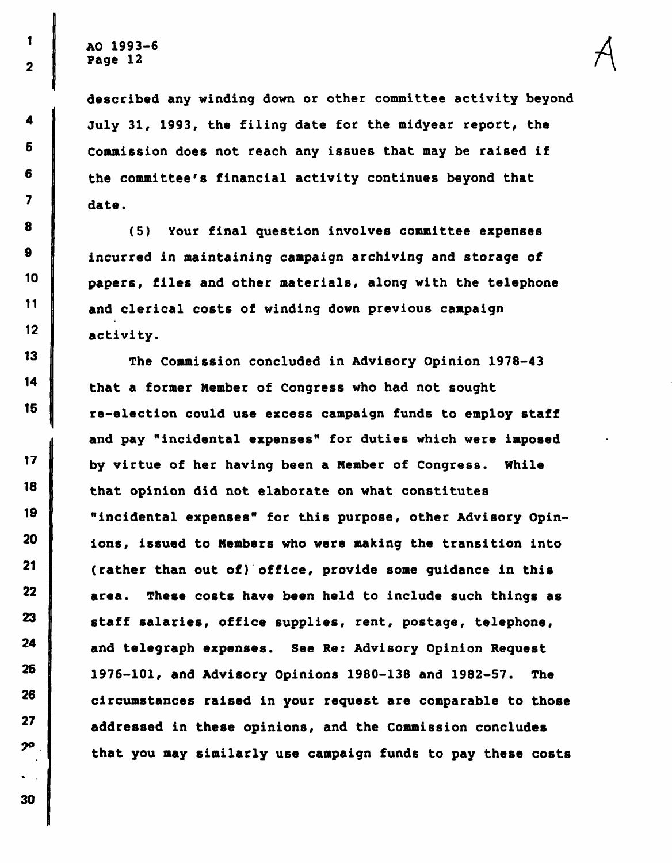4

5

6

 $\overline{\mathbf{z}}$ 

8

9

10

11

 $12<sub>2</sub>$ 

 $13$ 

14

15

 $17$ 

18

19

20

21

22

23

24

25

26

27

 $2<sup>o</sup>$ 

described any winding down or other committee activity beyond July 31, 1993, the filing date for the midyear report, the Commission does not reach any issues that may be raised if the committee's financial activity continues beyond that date.

(5) Your final question involves committee expenses incurred in maintaining campaign archiving and storage of papers, files and other materials, along with the telephone and clerical costs of winding down previous campaign activity.

The Commission concluded in Advisory Opinion 1978-43 that a former Member of Congress who had not sought re-election could use excess campaign funds to employ staff and pay "incidental expenses" for duties which were imposed by virtue of her having been a Member of Congress. While that opinion did not elaborate on what constitutes "incidental expenses" for this purpose, other Advisory Opinions, issued to Members who were making the transition into (rather than out of) office, provide some guidance in this area. These costs have been held to include such things as staff salaries, office supplies, rent, postage, telephone, and telegraph expenses. See Re: Advisory Opinion Request 1976-101, and Advisory Opinions 1980-138 and 1982-57. The circumstances raised in your request are comparable to those addressed in these opinions, and the Commission concludes that you may similarly use campaign funds to pay these costs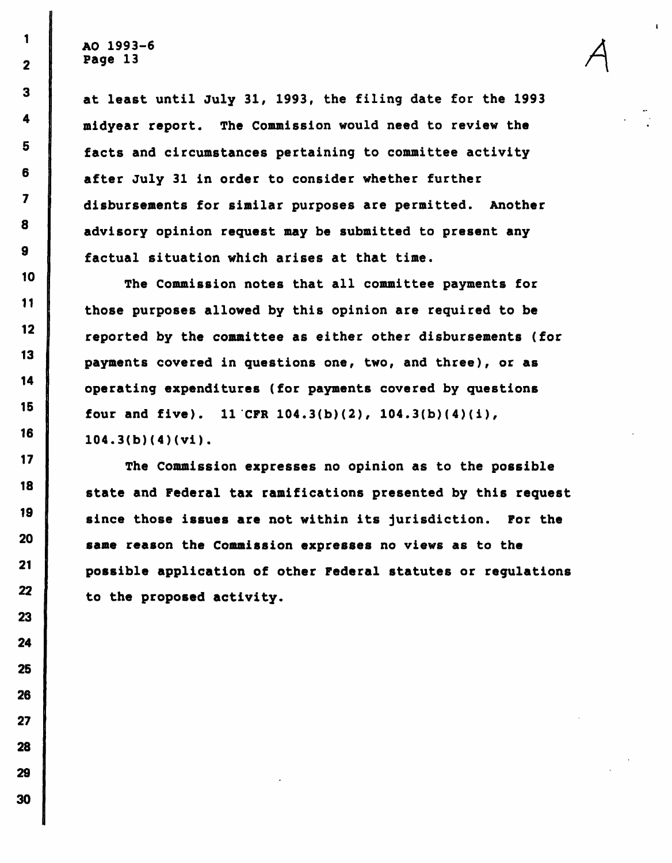1

 $\overline{\mathbf{2}}$ 

 $\overline{\mathbf{3}}$ 

4

5

6

 $\overline{\mathbf{z}}$ 

8

 $\mathbf{9}$ 

10

11

 $12<sub>2</sub>$ 

13

14

15

16

 $17$ 

18

19

20

 $21$ 

22

23

24

25

26

27

28

29

30

at least until July 31, 1993, the filing date for the 1993 midyear report. The Commission would need to review the facts and circumstances pertaining to committee activity after July 31 in order to consider whether further disbursements for similar purposes are permitted. Another advisory opinion request may be submitted to present any factual situation which arises at that time.

A

The Commission notes that all committee payments for those purposes allowed by this opinion are required to be reported by the committee as either other disbursements (for payments covered in questions one, two, and three), or as operating expenditures (for payments covered by questions four and five). 11 CFR  $104.3(b)(2)$ ,  $104.3(b)(4)(i)$ , 104.3(b)(4)(vi).

The Commission expresses no opinion as to the possible state and Federal tax ramifications presented by this request since those issues are not within its jurisdiction. For the same reason the Commission expresses no views as to the possible application of other Federal statutes or regulations to the proposed activity.